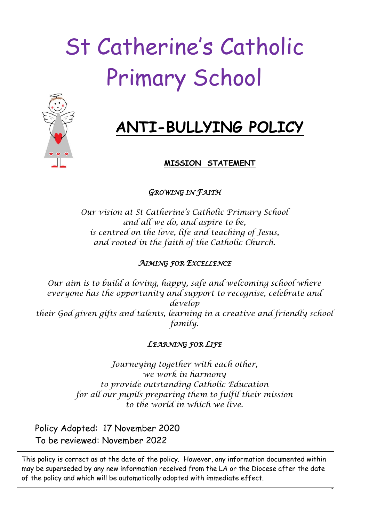# St Catherine's Catholic Primary School



## **ANTI-BULLYING POLICY**

#### **MISSION STATEMENT**

*GROWING IN FAITH* 

*Our vision at St Catherine's Catholic Primary School and all we do, and aspire to be, is centred on the love, life and teaching of Jesus, and rooted in the faith of the Catholic Church.*

#### *AIMING FOR EXCELLENCE*

*Our aim is to build a loving, happy, safe and welcoming school where everyone has the opportunity and support to recognise, celebrate and develop their God given gifts and talents, learning in a creative and friendly school family.*

#### *LEARNING FOR LIFE*

*Journeying together with each other, we work in harmony to provide outstanding Catholic Education for all our pupils preparing them to fulfil their mission to the world in which we live.*

Policy Adopted: 17 November 2020 To be reviewed: November 2022

This policy is correct as at the date of the policy. However, any information documented within may be superseded by any new information received from the LA or the Diocese after the date of the policy and which will be automatically adopted with immediate effect.

-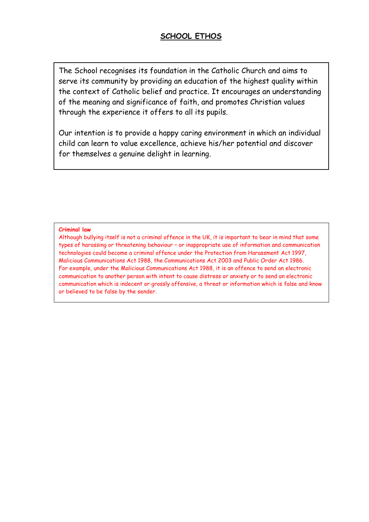#### **SCHOOL ETHOS**

The School recognises its foundation in the Catholic Church and aims to serve its community by providing an education of the highest quality within the context of Catholic belief and practice. It encourages an understanding of the meaning and significance of faith, and promotes Christian values through the experience it offers to all its pupils.

Our intention is to provide a happy caring environment in which an individual child can learn to value excellence, achieve his/her potential and discover for themselves a genuine delight in learning.

#### **Criminal law**

Although bullying itself is not a criminal offence in the UK, it is important to bear in mind that some types of harassing or threatening behaviour – or inappropriate use of information and communication technologies could become a criminal offence under the Protection from Harassment Act 1997, Malicious Communications Act 1988, the Communications Act 2003 and Public Order Act 1986. For example, under the Malicious Communications Act 1988, it is an offence to send an electronic communication to another person with intent to cause distress or anxiety or to send an electronic communication which is indecent or grossly offensive, a threat or information which is false and know or believed to be false by the sender.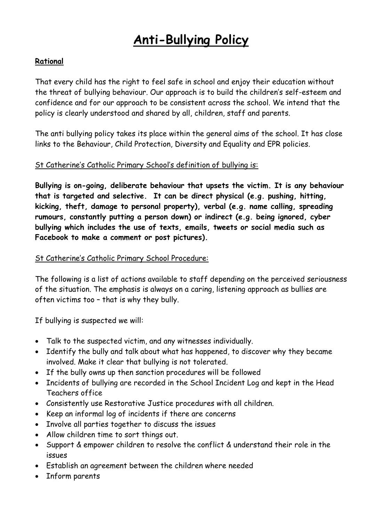## **Anti-Bullying Policy**

#### **Rational**

That every child has the right to feel safe in school and enjoy their education without the threat of bullying behaviour. Our approach is to build the children's self-esteem and confidence and for our approach to be consistent across the school. We intend that the policy is clearly understood and shared by all, children, staff and parents.

The anti bullying policy takes its place within the general aims of the school. It has close links to the Behaviour, Child Protection, Diversity and Equality and EPR policies.

#### St Catherine's Catholic Primary School's definition of bullying is:

**Bullying is on-going, deliberate behaviour that upsets the victim. It is any behaviour that is targeted and selective. It can be direct physical (e.g. pushing, hitting, kicking, theft, damage to personal property), verbal (e.g. name calling, spreading rumours, constantly putting a person down) or indirect (e.g. being ignored, cyber bullying which includes the use of texts, emails, tweets or social media such as Facebook to make a comment or post pictures).**

#### St Catherine's Catholic Primary School Procedure:

The following is a list of actions available to staff depending on the perceived seriousness of the situation. The emphasis is always on a caring, listening approach as bullies are often victims too – that is why they bully.

If bullying is suspected we will:

- Talk to the suspected victim, and any witnesses individually.
- Identify the bully and talk about what has happened, to discover why they became involved. Make it clear that bullying is not tolerated.
- If the bully owns up then sanction procedures will be followed
- Incidents of bullying are recorded in the School Incident Log and kept in the Head Teachers office
- Consistently use Restorative Justice procedures with all children.
- Keep an informal log of incidents if there are concerns
- Involve all parties together to discuss the issues
- Allow children time to sort things out.
- Support & empower children to resolve the conflict & understand their role in the issues
- Establish an agreement between the children where needed
- Inform parents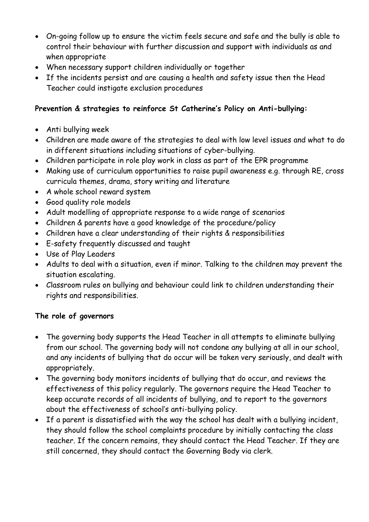- On-going follow up to ensure the victim feels secure and safe and the bully is able to control their behaviour with further discussion and support with individuals as and when appropriate
- When necessary support children individually or together
- If the incidents persist and are causing a health and safety issue then the Head Teacher could instigate exclusion procedures

#### **Prevention & strategies to reinforce St Catherine's Policy on Anti-bullying:**

- Anti bullying week
- Children are made aware of the strategies to deal with low level issues and what to do in different situations including situations of cyber-bullying.
- Children participate in role play work in class as part of the EPR programme
- Making use of curriculum opportunities to raise pupil awareness e.g. through RE, cross curricula themes, drama, story writing and literature
- A whole school reward system
- Good quality role models
- Adult modelling of appropriate response to a wide range of scenarios
- Children & parents have a good knowledge of the procedure/policy
- Children have a clear understanding of their rights & responsibilities
- E-safety frequently discussed and taught
- Use of Play Leaders
- Adults to deal with a situation, even if minor. Talking to the children may prevent the situation escalating.
- Classroom rules on bullying and behaviour could link to children understanding their rights and responsibilities.

#### **The role of governors**

- The governing body supports the Head Teacher in all attempts to eliminate bullying from our school. The governing body will not condone any bullying at all in our school, and any incidents of bullying that do occur will be taken very seriously, and dealt with appropriately.
- The governing body monitors incidents of bullying that do occur, and reviews the effectiveness of this policy regularly. The governors require the Head Teacher to keep accurate records of all incidents of bullying, and to report to the governors about the effectiveness of school's anti-bullying policy.
- If a parent is dissatisfied with the way the school has dealt with a bullying incident, they should follow the school complaints procedure by initially contacting the class teacher. If the concern remains, they should contact the Head Teacher. If they are still concerned, they should contact the Governing Body via clerk.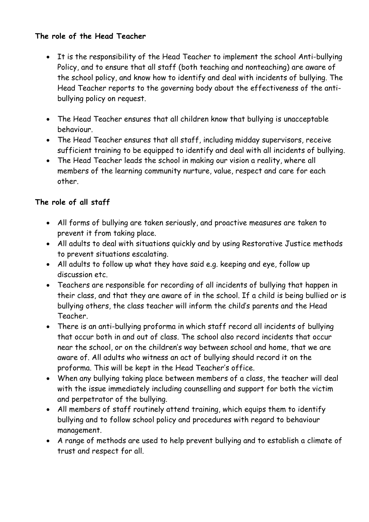#### **The role of the Head Teacher**

- It is the responsibility of the Head Teacher to implement the school Anti-bullying Policy, and to ensure that all staff (both teaching and nonteaching) are aware of the school policy, and know how to identify and deal with incidents of bullying. The Head Teacher reports to the governing body about the effectiveness of the antibullying policy on request.
- The Head Teacher ensures that all children know that bullying is unacceptable behaviour.
- The Head Teacher ensures that all staff, including midday supervisors, receive sufficient training to be equipped to identify and deal with all incidents of bullying.
- The Head Teacher leads the school in making our vision a reality, where all members of the learning community nurture, value, respect and care for each other.

#### **The role of all staff**

- All forms of bullying are taken seriously, and proactive measures are taken to prevent it from taking place.
- All adults to deal with situations quickly and by using Restorative Justice methods to prevent situations escalating.
- All adults to follow up what they have said e.g. keeping and eye, follow up discussion etc.
- Teachers are responsible for recording of all incidents of bullying that happen in their class, and that they are aware of in the school. If a child is being bullied or is bullying others, the class teacher will inform the child's parents and the Head Teacher.
- There is an anti-bullying proforma in which staff record all incidents of bullying that occur both in and out of class. The school also record incidents that occur near the school, or on the children's way between school and home, that we are aware of. All adults who witness an act of bullying should record it on the proforma. This will be kept in the Head Teacher's office.
- When any bullying taking place between members of a class, the teacher will deal with the issue immediately including counselling and support for both the victim and perpetrator of the bullying.
- All members of staff routinely attend training, which equips them to identify bullying and to follow school policy and procedures with regard to behaviour management.
- A range of methods are used to help prevent bullying and to establish a climate of trust and respect for all.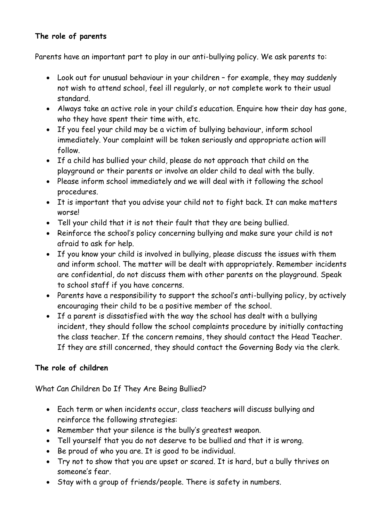#### **The role of parents**

Parents have an important part to play in our anti-bullying policy. We ask parents to:

- Look out for unusual behaviour in your children for example, they may suddenly not wish to attend school, feel ill regularly, or not complete work to their usual standard.
- Always take an active role in your child's education. Enquire how their day has gone, who they have spent their time with, etc.
- If you feel your child may be a victim of bullying behaviour, inform school immediately. Your complaint will be taken seriously and appropriate action will follow.
- If a child has bullied your child, please do not approach that child on the playground or their parents or involve an older child to deal with the bully.
- Please inform school immediately and we will deal with it following the school procedures.
- It is important that you advise your child not to fight back. It can make matters worse!
- Tell your child that it is not their fault that they are being bullied.
- Reinforce the school's policy concerning bullying and make sure your child is not afraid to ask for help.
- If you know your child is involved in bullying, please discuss the issues with them and inform school. The matter will be dealt with appropriately. Remember incidents are confidential, do not discuss them with other parents on the playground. Speak to school staff if you have concerns.
- Parents have a responsibility to support the school's anti-bullying policy, by actively encouraging their child to be a positive member of the school.
- If a parent is dissatisfied with the way the school has dealt with a bullying incident, they should follow the school complaints procedure by initially contacting the class teacher. If the concern remains, they should contact the Head Teacher. If they are still concerned, they should contact the Governing Body via the clerk.

#### **The role of children**

What Can Children Do If They Are Being Bullied?

- Each term or when incidents occur, class teachers will discuss bullying and reinforce the following strategies:
- Remember that your silence is the bully's greatest weapon.
- Tell yourself that you do not deserve to be bullied and that it is wrong.
- Be proud of who you are. It is good to be individual.
- Try not to show that you are upset or scared. It is hard, but a bully thrives on someone's fear.
- Stay with a group of friends/people. There is safety in numbers.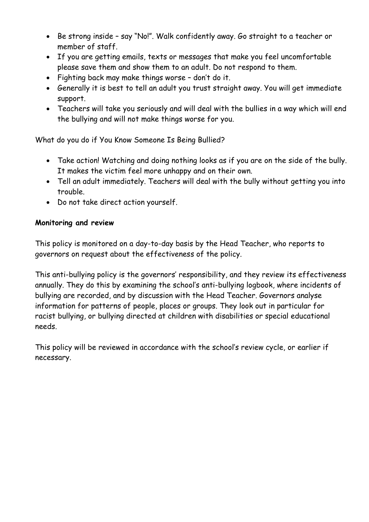- Be strong inside say "No!". Walk confidently away. Go straight to a teacher or member of staff.
- If you are getting emails, texts or messages that make you feel uncomfortable please save them and show them to an adult. Do not respond to them.
- Fighting back may make things worse don't do it.
- Generally it is best to tell an adult you trust straight away. You will get immediate support.
- Teachers will take you seriously and will deal with the bullies in a way which will end the bullying and will not make things worse for you.

What do you do if You Know Someone Is Being Bullied?

- Take action! Watching and doing nothing looks as if you are on the side of the bully. It makes the victim feel more unhappy and on their own.
- Tell an adult immediately. Teachers will deal with the bully without getting you into trouble.
- Do not take direct action yourself.

#### **Monitoring and review**

This policy is monitored on a day-to-day basis by the Head Teacher, who reports to governors on request about the effectiveness of the policy.

This anti-bullying policy is the governors' responsibility, and they review its effectiveness annually. They do this by examining the school's anti-bullying logbook, where incidents of bullying are recorded, and by discussion with the Head Teacher. Governors analyse information for patterns of people, places or groups. They look out in particular for racist bullying, or bullying directed at children with disabilities or special educational needs.

This policy will be reviewed in accordance with the school's review cycle, or earlier if necessary.